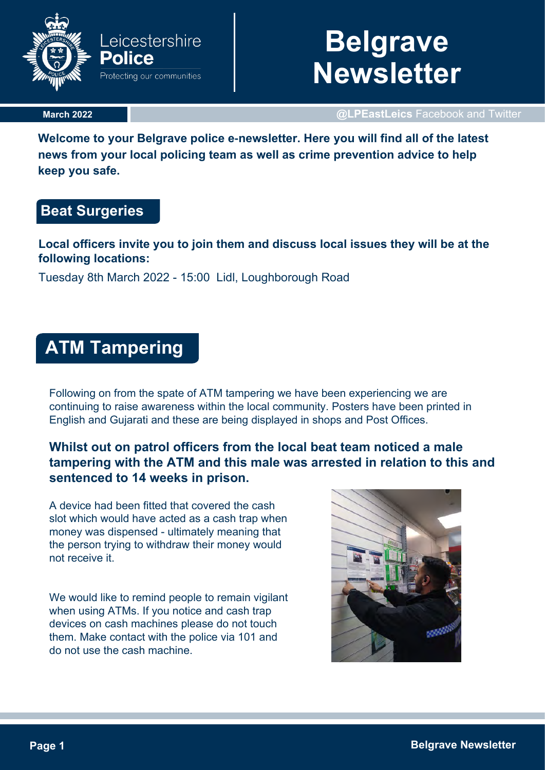

# **Belgrave Newsletter**

**March 2022**

**@LPEastLeics** Facebook and Twitter

**Welcome to your Belgrave police e-newsletter. Here you will find all of the latest news from your local policing team as well as crime prevention advice to help keep you safe.**

# **Beat Surgeries**

**Local officers invite you to join them and discuss local issues they will be at the following locations:** 

Tuesday 8th March 2022 - 15:00 Lidl, Loughborough Road

# **ATM Tampering**

Following on from the spate of ATM tampering we have been experiencing we are continuing to raise awareness within the local community. Posters have been printed in English and Gujarati and these are being displayed in shops and Post Offices.

## **Whilst out on patrol officers from the local beat team noticed a male tampering with the ATM and this male was arrested in relation to this and sentenced to 14 weeks in prison.**

A device had been fitted that covered the cash slot which would have acted as a cash trap when money was dispensed - ultimately meaning that the person trying to withdraw their money would not receive it.

We would like to remind people to remain vigilant when using ATMs. If you notice and cash trap devices on cash machines please do not touch them. Make contact with the police via 101 and do not use the cash machine.

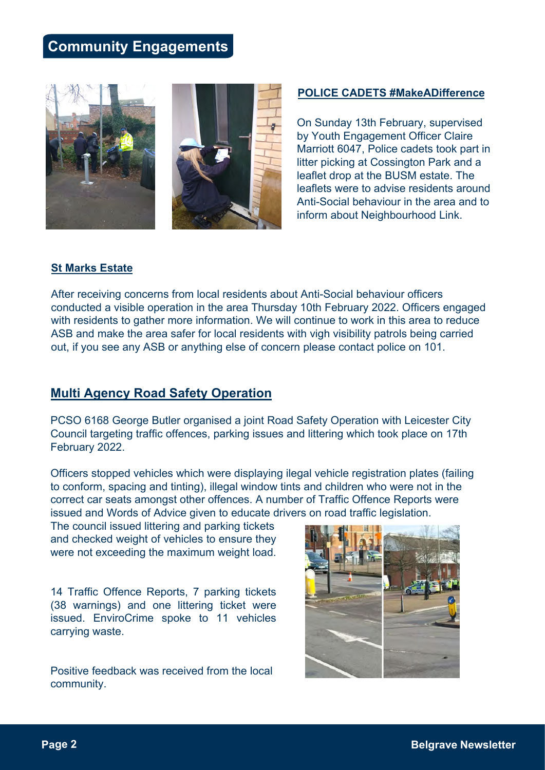# **Community Engagements**



**POLICE CADETS #MakeADifference**

On Sunday 13th February, supervised by Youth Engagement Officer Claire Marriott 6047, Police cadets took part in litter picking at Cossington Park and a leaflet drop at the BUSM estate. The leaflets were to advise residents around Anti-Social behaviour in the area and to inform about Neighbourhood Link.

#### **St Marks Estate**

After receiving concerns from local residents about Anti-Social behaviour officers conducted a visible operation in the area Thursday 10th February 2022. Officers engaged with residents to gather more information. We will continue to work in this area to reduce ASB and make the area safer for local residents with vigh visibility patrols being carried out, if you see any ASB or anything else of concern please contact police on 101.

#### **Multi Agency Road Safety Operation**

PCSO 6168 George Butler organised a joint Road Safety Operation with Leicester City Council targeting traffic offences, parking issues and littering which took place on 17th February 2022.

Officers stopped vehicles which were displaying ilegal vehicle registration plates (failing to conform, spacing and tinting), illegal window tints and children who were not in the correct car seats amongst other offences. A number of Traffic Offence Reports were issued and Words of Advice given to educate drivers on road traffic legislation.

The council issued littering and parking tickets and checked weight of vehicles to ensure they were not exceeding the maximum weight load.

14 Traffic Offence Reports, 7 parking tickets (38 warnings) and one littering ticket were issued. EnviroCrime spoke to 11 vehicles carrying waste.

Positive feedback was received from the local community.

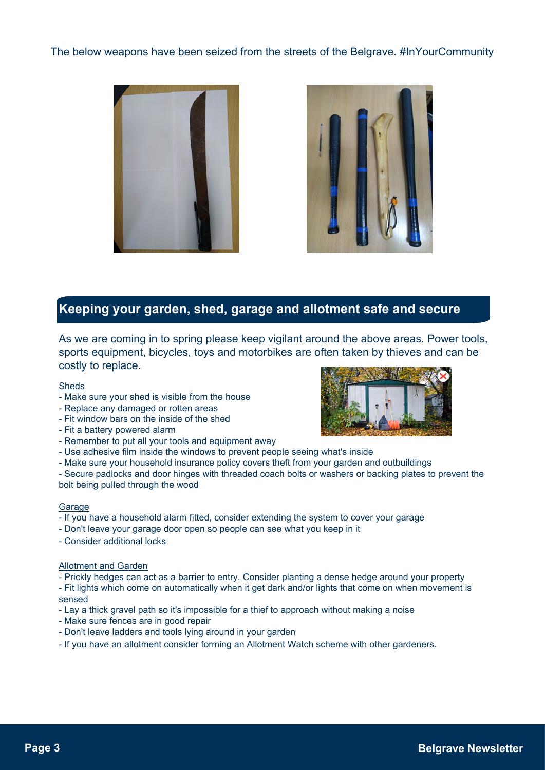#### The below weapons have been seized from the streets of the Belgrave. #InYourCommunity





### **Keeping your garden, shed, garage and allotment safe and secure**

As we are coming in to spring please keep vigilant around the above areas. Power tools, sports equipment, bicycles, toys and motorbikes are often taken by thieves and can be costly to replace.

Sheds

- Make sure your shed is visible from the house
- Replace any damaged or rotten areas
- Fit window bars on the inside of the shed
- Fit a battery powered alarm
- Remember to put all your tools and equipment away
- Use adhesive film inside the windows to prevent people seeing what's inside
- Make sure your household insurance policy covers theft from your garden and outbuildings
- Secure padlocks and door hinges with threaded coach bolts or washers or backing plates to prevent the

bolt being pulled through the wood

#### **Garage**

- If you have a household alarm fitted, consider extending the system to cover your garage
- Don't leave your garage door open so people can see what you keep in it
- Consider additional locks

#### Allotment and Garden

- Prickly hedges can act as a barrier to entry. Consider planting a dense hedge around your property
- Fit lights which come on automatically when it get dark and/or lights that come on when movement is sensed
- Lay a thick gravel path so it's impossible for a thief to approach without making a noise
- Make sure fences are in good repair
- Don't leave ladders and tools lying around in your garden
- If you have an allotment consider forming an Allotment Watch scheme with other gardeners.